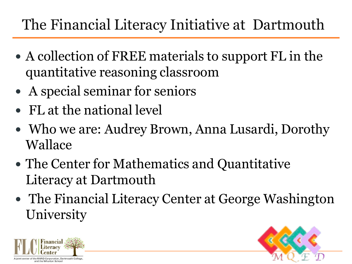# The Financial Literacy Initiative at Dartmouth

- A collection of FREE materials to support FL in the quantitative reasoning classroom
- A special seminar for seniors
- FL at the national level
- Who we are: Audrey Brown, Anna Lusardi, Dorothy Wallace
- The Center for Mathematics and Quantitative Literacy at Dartmouth
- The Financial Literacy Center at George Washington **University**



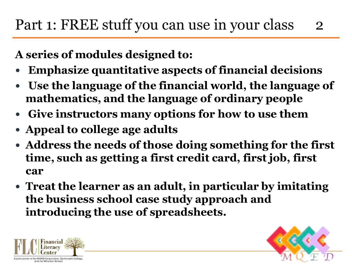**A series of modules designed to:**

- **Emphasize quantitative aspects of financial decisions**
- **Use the language of the financial world, the language of mathematics, and the language of ordinary people**
- **Give instructors many options for how to use them**
- **Appeal to college age adults**
- **Address the needs of those doing something for the first time, such as getting a first credit card, first job, first car**
- **Treat the learner as an adult, in particular by imitating the business school case study approach and introducing the use of spreadsheets.**



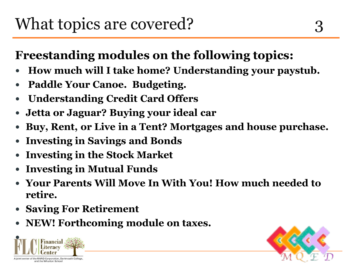#### **Freestanding modules on the following topics:**

- **How much will I take home? Understanding your paystub.**
- **Paddle Your Canoe. Budgeting.**
- **Understanding Credit Card Offers**
- **Jetta or Jaguar? Buying your ideal car**
- **Buy, Rent, or Live in a Tent? Mortgages and house purchase.**
- **Investing in Savings and Bonds**
- **Investing in the Stock Market**
- **Investing in Mutual Funds**
- **Your Parents Will Move In With You! How much needed to retire.**
- **Saving For Retirement**
- **NEW! Forthcoming module on taxes.**



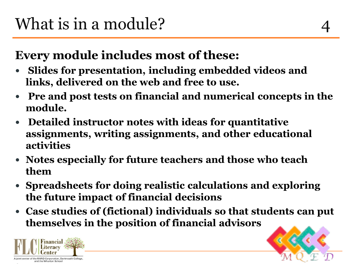#### **Every module includes most of these:**

- **Slides for presentation, including embedded videos and links, delivered on the web and free to use.**
- **Pre and post tests on financial and numerical concepts in the module.**
- **Detailed instructor notes with ideas for quantitative assignments, writing assignments, and other educational activities**
- **Notes especially for future teachers and those who teach them**
- **Spreadsheets for doing realistic calculations and exploring the future impact of financial decisions**
- **Case studies of (fictional) individuals so that students can put themselves in the position of financial advisors**



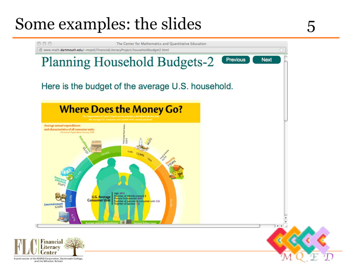# Some examples: the slides 5

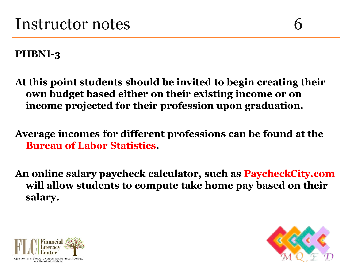**PHBNI-3**

**At this point students should be invited to begin creating their own budget based either on their existing income or on income projected for their profession upon graduation.**

**Average incomes for different professions can be found at the Bureau of Labor Statistics.**

**An online salary paycheck calculator, such as PaycheckCity.com will allow students to compute take home pay based on their salary.** 



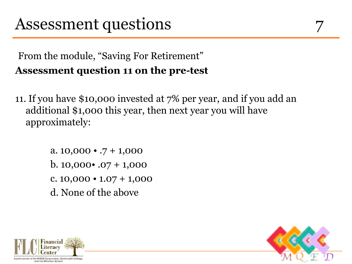#### From the module, "Saving For Retirement" **Assessment question 11 on the pre-test**

11. If you have \$10,000 invested at 7% per year, and if you add an additional \$1,000 this year, then next year you will have approximately:

> a.  $10,000 \cdot .7 + 1,000$ b.  $10,000 \cdot 0.07 + 1,000$ c.  $10,000 \cdot 1.07 + 1,000$ d. None of the above



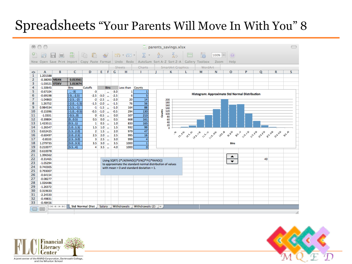### Spreadsheets "Your Parents Will Move In With You" 8

|                                                                                                                                    |                       |               | parents_savings.xlsx       |                        |                  |                            |                  |               |                                                                                                                                                                     |  |                          |               |                                                                                                                                                                                                                                                                                                        |         |   |                          |   |    |   |   |  |  |  |
|------------------------------------------------------------------------------------------------------------------------------------|-----------------------|---------------|----------------------------|------------------------|------------------|----------------------------|------------------|---------------|---------------------------------------------------------------------------------------------------------------------------------------------------------------------|--|--------------------------|---------------|--------------------------------------------------------------------------------------------------------------------------------------------------------------------------------------------------------------------------------------------------------------------------------------------------------|---------|---|--------------------------|---|----|---|---|--|--|--|
|                                                                                                                                    |                       | $\equiv$<br>局 | 島                          |                        |                  |                            |                  |               | $E_1 = \begin{bmatrix} 1 & 1 & 1 \\ 1 & 1 & 1 \\ 1 & 1 & 1 \end{bmatrix} \quad \text{for all } 1 \leq r \quad \text{for} \quad \text{for all } r \in \mathbb{Z}^n.$ |  |                          | $\frac{Z}{A}$ | b.                                                                                                                                                                                                                                                                                                     | 的       |   | $ 100\%  =  $ (2)        |   |    |   |   |  |  |  |
|                                                                                                                                    | 國                     |               |                            |                        |                  |                            |                  |               |                                                                                                                                                                     |  |                          |               |                                                                                                                                                                                                                                                                                                        |         |   |                          |   |    |   |   |  |  |  |
| Open Save Print Import   Copy Paste Format   Undo Redo   AutoSum Sort A-Z Sort Z-A   Gallery Toolbox<br>Help<br>Zoom<br><b>New</b> |                       |               |                            |                        |                  |                            |                  |               |                                                                                                                                                                     |  |                          |               |                                                                                                                                                                                                                                                                                                        |         |   |                          |   |    |   |   |  |  |  |
|                                                                                                                                    |                       |               |                            |                        |                  |                            |                  | <b>Sheets</b> | Charts                                                                                                                                                              |  | <b>SmartArt Graphics</b> |               |                                                                                                                                                                                                                                                                                                        | WordArt |   |                          |   |    |   |   |  |  |  |
| ◇                                                                                                                                  | Α                     | В             | c                          | D                      |                  | EF                         | G                | н             | п                                                                                                                                                                   |  |                          | к             | L                                                                                                                                                                                                                                                                                                      | M       | N | o                        | P | Q  | R | s |  |  |  |
| 1                                                                                                                                  | 1.201588              |               |                            |                        |                  |                            |                  |               |                                                                                                                                                                     |  |                          |               |                                                                                                                                                                                                                                                                                                        |         |   |                          |   |    |   |   |  |  |  |
| 2                                                                                                                                  | -0.38093 MEAN         |               | 0.013561                   |                        |                  |                            |                  |               |                                                                                                                                                                     |  |                          |               |                                                                                                                                                                                                                                                                                                        |         |   |                          |   |    |   |   |  |  |  |
| 3                                                                                                                                  | $-1.03521$ STDEV      |               | 1.013674                   |                        |                  |                            |                  |               |                                                                                                                                                                     |  |                          |               |                                                                                                                                                                                                                                                                                                        |         |   |                          |   |    |   |   |  |  |  |
| 4                                                                                                                                  | $-1.50645$            |               | <b>Bins</b>                | Cutoffs                |                  | <b>Bins</b>                |                  | Less than     | Counts                                                                                                                                                              |  |                          |               |                                                                                                                                                                                                                                                                                                        |         |   |                          |   |    |   |   |  |  |  |
| 5                                                                                                                                  | $-0.67104$            |               | $ -3)$                     | -3                     |                  |                            | $-3.0$           | 1             | -1                                                                                                                                                                  |  |                          |               | Histogram: Approximate Std Normal Distribution                                                                                                                                                                                                                                                         |         |   |                          |   |    |   |   |  |  |  |
| 6<br>$\overline{7}$                                                                                                                | $-0.69198$            |               | $[-3-2.5]$                 | $-2.5$                 | $-3.0$           |                            | $-2.5$           | 6             | $\overline{\mathbf{5}}$<br>14                                                                                                                                       |  |                          |               |                                                                                                                                                                                                                                                                                                        |         |   |                          |   |    |   |   |  |  |  |
| 8                                                                                                                                  | $-1.04863$<br>1.26752 |               | $[-2.5-2]$<br>$[-2.0-1.5]$ | $-2$                   | $-2.5$<br>$-2.0$ | m.                         | $-2.0$<br>$-1.5$ | 20<br>76      | 56                                                                                                                                                                  |  |                          | 200<br>180    |                                                                                                                                                                                                                                                                                                        |         |   |                          |   |    |   |   |  |  |  |
| 9                                                                                                                                  | 0.984534              |               | $[-1.5-1]$                 | $-1.5$                 | $-1 - 1.5$       |                            | $-1.0$           | 164           | 88                                                                                                                                                                  |  |                          | 160           |                                                                                                                                                                                                                                                                                                        |         |   |                          |   |    |   |   |  |  |  |
| 10                                                                                                                                 | $-0.15396$            |               | $[-1.0 -0.5]$              | $-0.5$                 | $-1.0$           | $\ddot{\phantom{a}}$       | $-0.5$           | 294           | 130                                                                                                                                                                 |  |                          | 140<br>120    |                                                                                                                                                                                                                                                                                                        |         |   |                          |   |    |   |   |  |  |  |
| 11                                                                                                                                 | $-1.0331$             |               | $[-0.50]$                  | 0                      | $-0.5$           | m.<br>$\ddot{\phantom{a}}$ | 0.0              | 507           | 213                                                                                                                                                                 |  | Counts                   | 100           |                                                                                                                                                                                                                                                                                                        |         |   |                          |   |    |   |   |  |  |  |
| 12                                                                                                                                 | $-0.39804$            |               | [00.5]                     | 0.5                    | 0.0              | ă.                         | 0.5              | 668           | 161                                                                                                                                                                 |  |                          | 80<br>60      |                                                                                                                                                                                                                                                                                                        |         |   |                          |   |    |   |   |  |  |  |
| 13                                                                                                                                 | 1.423511              |               | [0.51]                     | $\mathbf{1}$           | 0.5              | $\ddot{\phantom{a}}$       | 1.0              | 833           | 165                                                                                                                                                                 |  |                          | 40            | n<br>1919 1928<br>$\sigma^{\alpha^{\mathcal{G}}}$<br><b>0.95 09.99</b><br><b>B</b> BB<br>$e^{6\gamma^{\mathcal{S}}}$<br>$\circ^{\circ} \circ^{\circ} \circ^{\circ}$<br>$\sigma^{\varphi^{\mathcal{P}}}$<br>$\sigma^{n^{\Theta}}$<br>$\sigma_{\rm s}^{\rm s/2}$<br>Change<br>چ<br>an'i S<br><b>Bins</b> |         |   |                          |   |    |   |   |  |  |  |
| 14                                                                                                                                 | $-1.26547$            |               | [1.01.5]                   | 1.5                    | 1.0              | $\ddot{\phantom{a}}$       | 1.5              | 932           | 99                                                                                                                                                                  |  |                          | 20            |                                                                                                                                                                                                                                                                                                        |         |   |                          |   |    |   |   |  |  |  |
| 15                                                                                                                                 | 0.652425              |               | [1.52.0]                   | 2                      | 1.5              | $\ddot{\phantom{a}}$       | 2.0              | 979           | 47                                                                                                                                                                  |  |                          |               |                                                                                                                                                                                                                                                                                                        |         |   |                          |   |    |   |   |  |  |  |
| 16                                                                                                                                 | $-0.60497$            |               | [2.02.5]                   | 2.5                    | 2.0              | $\ddot{\phantom{a}}$       | 2.5              | 995           | $\overline{16}$                                                                                                                                                     |  |                          |               |                                                                                                                                                                                                                                                                                                        |         |   |                          |   |    |   |   |  |  |  |
| 17                                                                                                                                 | $-0.8533$             |               | [2.53.0]                   | з                      | 2.5              | $\ddot{\phantom{a}}$       | 3.0              | 999           | $\overline{4}$                                                                                                                                                      |  |                          |               |                                                                                                                                                                                                                                                                                                        |         |   |                          |   |    |   |   |  |  |  |
| 18                                                                                                                                 | 1.279735              |               | [3.03.5]                   | 3.5                    | 3.0              | m.                         | 3.5              | 1000          | $\overline{1}$                                                                                                                                                      |  |                          |               |                                                                                                                                                                                                                                                                                                        |         |   |                          |   |    |   |   |  |  |  |
| 19                                                                                                                                 | 0.210077              |               | [3.54]                     | 4                      | 3.5              | $\ddot{\phantom{a}}$       | 4.0              | 1000          | $\overline{0}$                                                                                                                                                      |  |                          |               |                                                                                                                                                                                                                                                                                                        |         |   |                          |   |    |   |   |  |  |  |
| 20                                                                                                                                 | 0.610078              |               |                            |                        |                  |                            |                  |               |                                                                                                                                                                     |  |                          |               |                                                                                                                                                                                                                                                                                                        |         |   |                          |   |    |   |   |  |  |  |
| 21                                                                                                                                 | 1.396562              |               |                            |                        |                  |                            |                  |               |                                                                                                                                                                     |  |                          |               |                                                                                                                                                                                                                                                                                                        |         |   | ▲                        |   |    |   |   |  |  |  |
| 22                                                                                                                                 | $-0.31465$            |               |                            |                        |                  |                            |                  |               | Using SQRT(-2*LN(RAND())*SIN(2*PI()*RAND())                                                                                                                         |  |                          |               |                                                                                                                                                                                                                                                                                                        |         |   |                          |   | 40 |   |   |  |  |  |
| 23                                                                                                                                 | $-1.05294$            |               |                            |                        |                  |                            |                  |               | to approximate the standard normal distribution of values                                                                                                           |  |                          |               |                                                                                                                                                                                                                                                                                                        |         |   | $\overline{\phantom{a}}$ |   |    |   |   |  |  |  |
| 24                                                                                                                                 | 0.740305              |               |                            |                        |                  |                            |                  |               | with mean = 0 and standard deviation = 1.                                                                                                                           |  |                          |               |                                                                                                                                                                                                                                                                                                        |         |   |                          |   |    |   |   |  |  |  |
| 25                                                                                                                                 | 0.793007              |               |                            |                        |                  |                            |                  |               |                                                                                                                                                                     |  |                          |               |                                                                                                                                                                                                                                                                                                        |         |   |                          |   |    |   |   |  |  |  |
| 26                                                                                                                                 | $-0.64154$            |               |                            |                        |                  |                            |                  |               |                                                                                                                                                                     |  |                          |               |                                                                                                                                                                                                                                                                                                        |         |   |                          |   |    |   |   |  |  |  |
| 27                                                                                                                                 | $-0.08277$            |               |                            |                        |                  |                            |                  |               |                                                                                                                                                                     |  |                          |               |                                                                                                                                                                                                                                                                                                        |         |   |                          |   |    |   |   |  |  |  |
| 28                                                                                                                                 | 1.026486              |               |                            |                        |                  |                            |                  |               |                                                                                                                                                                     |  |                          |               |                                                                                                                                                                                                                                                                                                        |         |   |                          |   |    |   |   |  |  |  |
| 29                                                                                                                                 | $-1.26372$            |               |                            |                        |                  |                            |                  |               |                                                                                                                                                                     |  |                          |               |                                                                                                                                                                                                                                                                                                        |         |   |                          |   |    |   |   |  |  |  |
| 30                                                                                                                                 | 0.319633              |               |                            |                        |                  |                            |                  |               |                                                                                                                                                                     |  |                          |               |                                                                                                                                                                                                                                                                                                        |         |   |                          |   |    |   |   |  |  |  |
| 31                                                                                                                                 | $-2.24533$            |               |                            |                        |                  |                            |                  |               |                                                                                                                                                                     |  |                          |               |                                                                                                                                                                                                                                                                                                        |         |   |                          |   |    |   |   |  |  |  |
| 32                                                                                                                                 | $-0.49831$            |               |                            |                        |                  |                            |                  |               |                                                                                                                                                                     |  |                          |               |                                                                                                                                                                                                                                                                                                        |         |   |                          |   |    |   |   |  |  |  |
| 33                                                                                                                                 | $-0.48456$            |               |                            |                        |                  |                            |                  |               |                                                                                                                                                                     |  |                          |               |                                                                                                                                                                                                                                                                                                        |         |   |                          |   |    |   |   |  |  |  |
|                                                                                                                                    | 圓圓                    | $+ + + + +$   |                            | <b>Std Normal Dist</b> | Salary           |                            |                  | Withdrawals   | Withdrawals $(2)$ +                                                                                                                                                 |  |                          |               |                                                                                                                                                                                                                                                                                                        |         |   |                          |   |    |   |   |  |  |  |
|                                                                                                                                    |                       |               |                            |                        |                  |                            |                  |               |                                                                                                                                                                     |  |                          |               |                                                                                                                                                                                                                                                                                                        |         |   |                          |   |    |   |   |  |  |  |



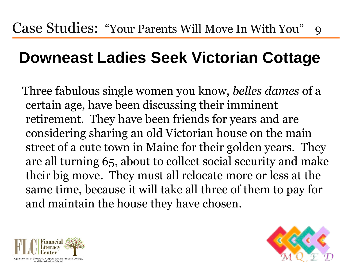## **Downeast Ladies Seek Victorian Cottage**

 Three fabulous single women you know, *belles dames* of a certain age, have been discussing their imminent retirement. They have been friends for years and are considering sharing an old Victorian house on the main street of a cute town in Maine for their golden years. They are all turning 65, about to collect social security and make their big move. They must all relocate more or less at the same time, because it will take all three of them to pay for and maintain the house they have chosen.



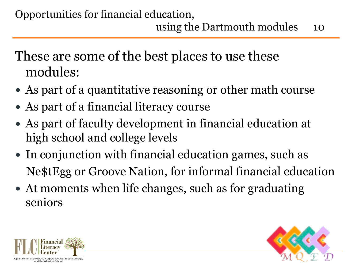These are some of the best places to use these modules:

- As part of a quantitative reasoning or other math course
- As part of a financial literacy course
- As part of faculty development in financial education at high school and college levels
- In conjunction with financial education games, such as Ne\$tEgg or Groove Nation, for informal financial education
- At moments when life changes, such as for graduating seniors



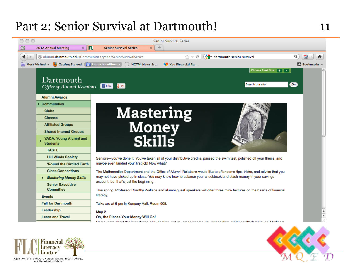#### Part 2: Senior Survival at Dartmouth! 11



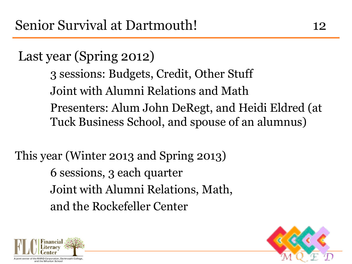Last year (Spring 2012)

3 sessions: Budgets, Credit, Other Stuff Joint with Alumni Relations and Math Presenters: Alum John DeRegt, and Heidi Eldred (at Tuck Business School, and spouse of an alumnus)

This year (Winter 2013 and Spring 2013) 6 sessions, 3 each quarter Joint with Alumni Relations, Math, and the Rockefeller Center



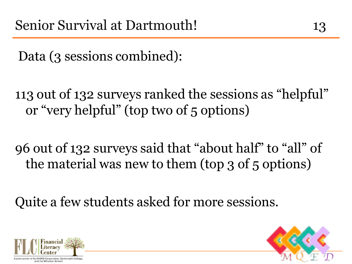Data (3 sessions combined):

113 out of 132 surveys ranked the sessions as "helpful" or "very helpful" (top two of 5 options)

96 out of 132 surveys said that "about half" to "all" of the material was new to them (top 3 of 5 options)

Quite a few students asked for more sessions.



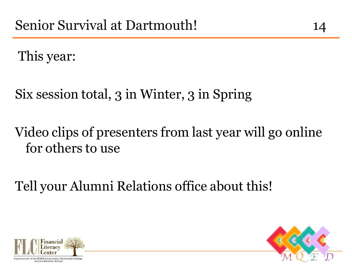This year:

Six session total, 3 in Winter, 3 in Spring

### Video clips of presenters from last year will go online for others to use

Tell your Alumni Relations office about this!